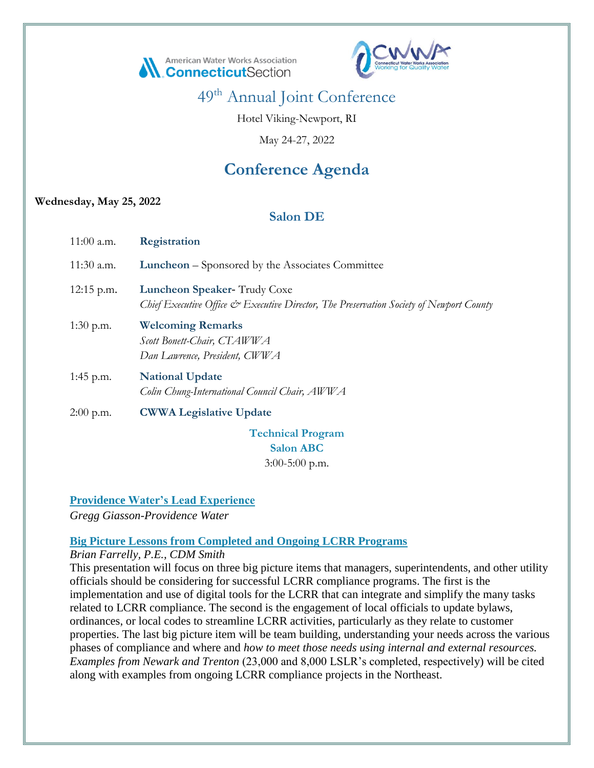



Hotel Viking-Newport, RI

May 24-27, 2022

# **Conference Agenda**

#### **Wednesday, May 25, 2022**

# **Salon DE**

| $11:00$ a.m. | <b>Registration</b>                                                                                                    |
|--------------|------------------------------------------------------------------------------------------------------------------------|
| $11:30$ a.m. | <b>Luncheon</b> – Sponsored by the Associates Committee                                                                |
| 12:15 p.m.   | Luncheon Speaker-Trudy Coxe<br>Chief Executive Office & Executive Director, The Preservation Society of Newport County |
| 1:30 p.m.    | <b>Welcoming Remarks</b><br>Scott Bonett-Chair, CTAWWA<br>Dan Lawrence, President, CWWA                                |
| 1:45 p.m.    | <b>National Update</b><br>Colin Chung-International Council Chair, AWWA                                                |
| $2:00$ p.m.  | <b>CWWA Legislative Update</b>                                                                                         |

**Technical Program Salon ABC** 3:00-5:00 p.m.

**Providence Water's Lead Experience**

*Gregg Giasson-Providence Water*

# **Big Picture Lessons from Completed and Ongoing LCRR Programs**

*Brian Farrelly, P.E., CDM Smith*

This presentation will focus on three big picture items that managers, superintendents, and other utility officials should be considering for successful LCRR compliance programs. The first is the implementation and use of digital tools for the LCRR that can integrate and simplify the many tasks related to LCRR compliance. The second is the engagement of local officials to update bylaws, ordinances, or local codes to streamline LCRR activities, particularly as they relate to customer properties. The last big picture item will be team building, understanding your needs across the various phases of compliance and where and *how to meet those needs using internal and external resources. Examples from Newark and Trenton* (23,000 and 8,000 LSLR's completed, respectively) will be cited along with examples from ongoing LCRR compliance projects in the Northeast.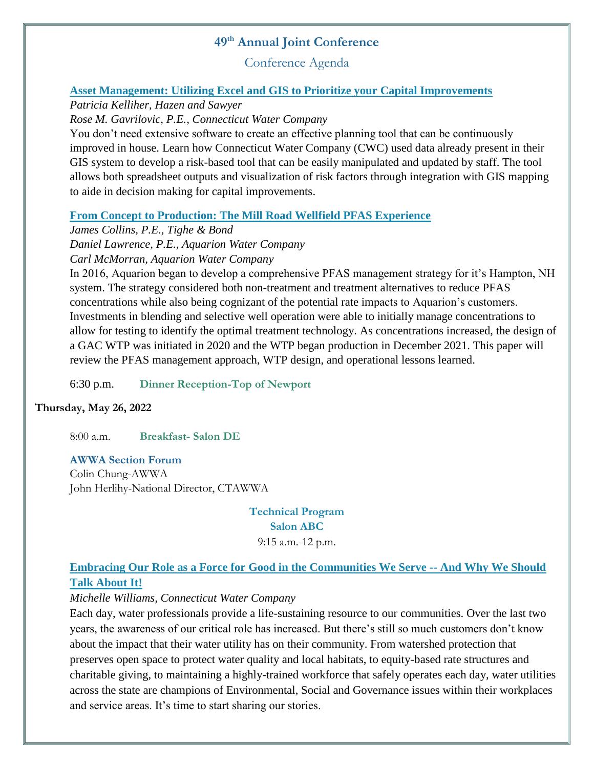Conference Agenda

# **Asset Management: Utilizing Excel and GIS to Prioritize your Capital Improvements**

*Patricia Kelliher, Hazen and Sawyer*

*Rose M. Gavrilovic, P.E., Connecticut Water Company*

You don't need extensive software to create an effective planning tool that can be continuously improved in house. Learn how Connecticut Water Company (CWC) used data already present in their GIS system to develop a risk-based tool that can be easily manipulated and updated by staff. The tool allows both spreadsheet outputs and visualization of risk factors through integration with GIS mapping to aide in decision making for capital improvements.

#### **From Concept to Production: The Mill Road Wellfield PFAS Experience**

*James Collins, P.E., Tighe & Bond Daniel Lawrence, P.E., Aquarion Water Company Carl McMorran, Aquarion Water Company*

In 2016, Aquarion began to develop a comprehensive PFAS management strategy for it's Hampton, NH system. The strategy considered both non-treatment and treatment alternatives to reduce PFAS concentrations while also being cognizant of the potential rate impacts to Aquarion's customers. Investments in blending and selective well operation were able to initially manage concentrations to allow for testing to identify the optimal treatment technology. As concentrations increased, the design of a GAC WTP was initiated in 2020 and the WTP began production in December 2021. This paper will review the PFAS management approach, WTP design, and operational lessons learned.

6:30 p.m. **Dinner Reception-Top of Newport**

#### **Thursday, May 26, 2022**

8:00 a.m. **Breakfast- Salon DE**

#### **AWWA Section Forum**

Colin Chung-AWWA John Herlihy-National Director, CTAWWA

> **Technical Program Salon ABC** 9:15 a.m.-12 p.m.

# **Embracing Our Role as a Force for Good in the Communities We Serve -- And Why We Should Talk About It!**

#### *Michelle Williams, Connecticut Water Company*

Each day, water professionals provide a life-sustaining resource to our communities. Over the last two years, the awareness of our critical role has increased. But there's still so much customers don't know about the impact that their water utility has on their community. From watershed protection that preserves open space to protect water quality and local habitats, to equity-based rate structures and charitable giving, to maintaining a highly-trained workforce that safely operates each day, water utilities across the state are champions of Environmental, Social and Governance issues within their workplaces and service areas. It's time to start sharing our stories.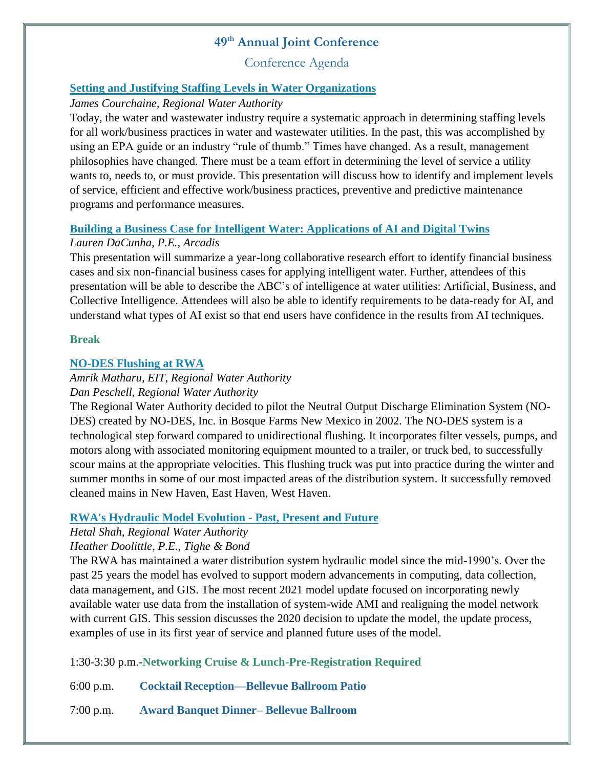Conference Agenda

#### **Setting and Justifying Staffing Levels in Water Organizations**

#### *James Courchaine, Regional Water Authority*

Today, the water and wastewater industry require a systematic approach in determining staffing levels for all work/business practices in water and wastewater utilities. In the past, this was accomplished by using an EPA guide or an industry "rule of thumb." Times have changed. As a result, management philosophies have changed. There must be a team effort in determining the level of service a utility wants to, needs to, or must provide. This presentation will discuss how to identify and implement levels of service, efficient and effective work/business practices, preventive and predictive maintenance programs and performance measures.

# **Building a Business Case for Intelligent Water: Applications of AI and Digital Twins**

# *Lauren DaCunha, P.E., Arcadis*

This presentation will summarize a year-long collaborative research effort to identify financial business cases and six non-financial business cases for applying intelligent water. Further, attendees of this presentation will be able to describe the ABC's of intelligence at water utilities: Artificial, Business, and Collective Intelligence. Attendees will also be able to identify requirements to be data-ready for AI, and understand what types of AI exist so that end users have confidence in the results from AI techniques.

#### **Break**

# **NO-DES Flushing at RWA**

#### *Amrik Matharu, EIT, Regional Water Authority Dan Peschell, Regional Water Authority*

The Regional Water Authority decided to pilot the Neutral Output Discharge Elimination System (NO-DES) created by NO-DES, Inc. in Bosque Farms New Mexico in 2002. The NO-DES system is a technological step forward compared to unidirectional flushing. It incorporates filter vessels, pumps, and motors along with associated monitoring equipment mounted to a trailer, or truck bed, to successfully scour mains at the appropriate velocities. This flushing truck was put into practice during the winter and summer months in some of our most impacted areas of the distribution system. It successfully removed cleaned mains in New Haven, East Haven, West Haven.

# **RWA's Hydraulic Model Evolution - Past, Present and Future**

# *Hetal Shah, Regional Water Authority*

# *Heather Doolittle, P.E., Tighe & Bond*

The RWA has maintained a water distribution system hydraulic model since the mid-1990's. Over the past 25 years the model has evolved to support modern advancements in computing, data collection, data management, and GIS. The most recent 2021 model update focused on incorporating newly available water use data from the installation of system-wide AMI and realigning the model network with current GIS. This session discusses the 2020 decision to update the model, the update process, examples of use in its first year of service and planned future uses of the model.

1:30-3:30 p.m.-**Networking Cruise & Lunch-Pre-Registration Required**

6:00 p.m. **Cocktail Reception—Bellevue Ballroom Patio**

7:00 p.m. **Award Banquet Dinner– Bellevue Ballroom**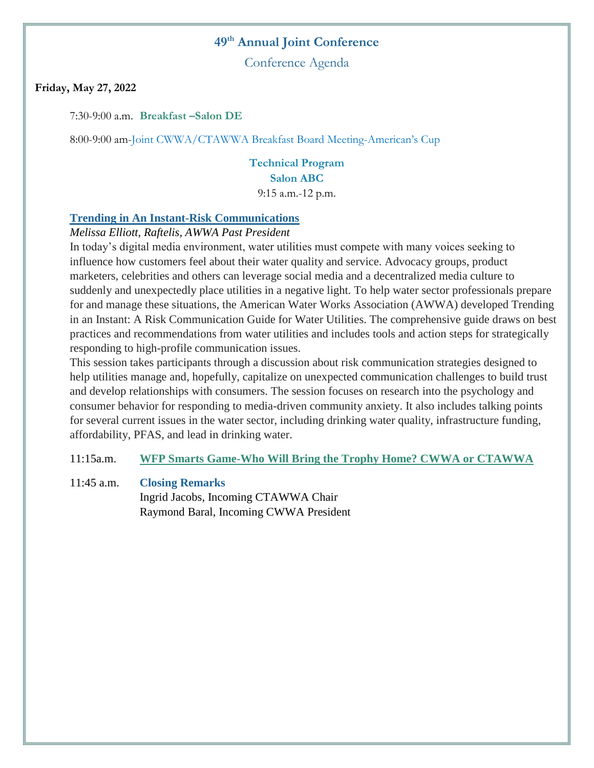Conference Agenda

#### **Friday, May 27, 2022**

7:30-9:00 a.m. **Breakfast –Salon DE**

8:00-9:00 am-Joint CWWA/CTAWWA Breakfast Board Meeting-American's Cup

**Technical Program Salon ABC** 9:15 a.m.-12 p.m.

#### **Trending in An Instant-Risk Communications**

#### *Melissa Elliott, Raftelis, AWWA Past President*

In today's digital media environment, water utilities must compete with many voices seeking to influence how customers feel about their water quality and service. Advocacy groups, product marketers, celebrities and others can leverage social media and a decentralized media culture to suddenly and unexpectedly place utilities in a negative light. To help water sector professionals prepare for and manage these situations, the American Water Works Association (AWWA) developed Trending in an Instant: A Risk Communication Guide for Water Utilities. The comprehensive guide draws on best practices and recommendations from water utilities and includes tools and action steps for strategically responding to high-profile communication issues.

This session takes participants through a discussion about risk communication strategies designed to help utilities manage and, hopefully, capitalize on unexpected communication challenges to build trust and develop relationships with consumers. The session focuses on research into the psychology and consumer behavior for responding to media-driven community anxiety. It also includes talking points for several current issues in the water sector, including drinking water quality, infrastructure funding, affordability, PFAS, and lead in drinking water.

11:15a.m. **WFP Smarts Game-Who Will Bring the Trophy Home? CWWA or CTAWWA**

# 11:45 a.m. **Closing Remarks** Ingrid Jacobs, Incoming CTAWWA Chair Raymond Baral, Incoming CWWA President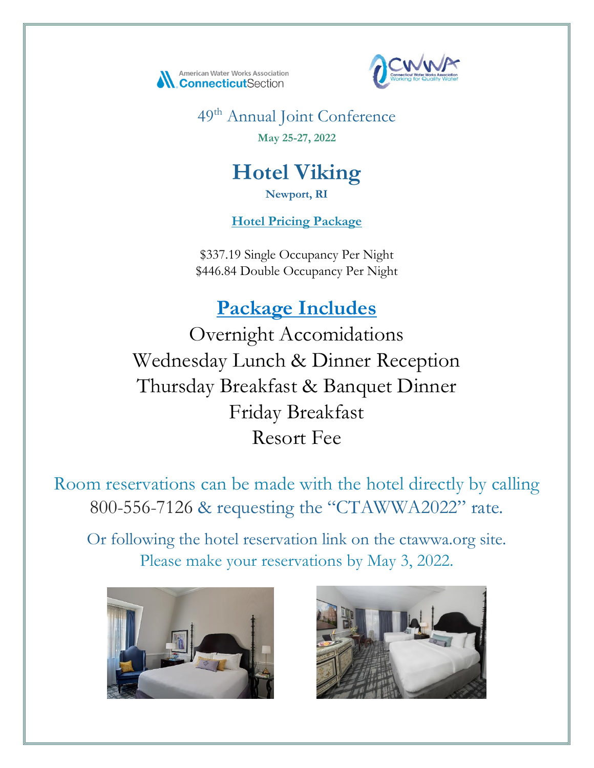



49th Annual Joint Conference **May 25-27, 2022**

# **Hotel Viking**

**Newport, RI**

**Hotel Pricing Package**

\$337.19 Single Occupancy Per Night \$446.84 Double Occupancy Per Night

**Package Includes**

Overnight Accomidations Wednesday Lunch & Dinner Reception Thursday Breakfast & Banquet Dinner Friday Breakfast Resort Fee

Room reservations can be made with the hotel directly by calling 800-556-7126 & requesting the "CTAWWA2022" rate.

Or following the hotel reservation link on the ctawwa.org site. Please make your reservations by May 3, 2022.



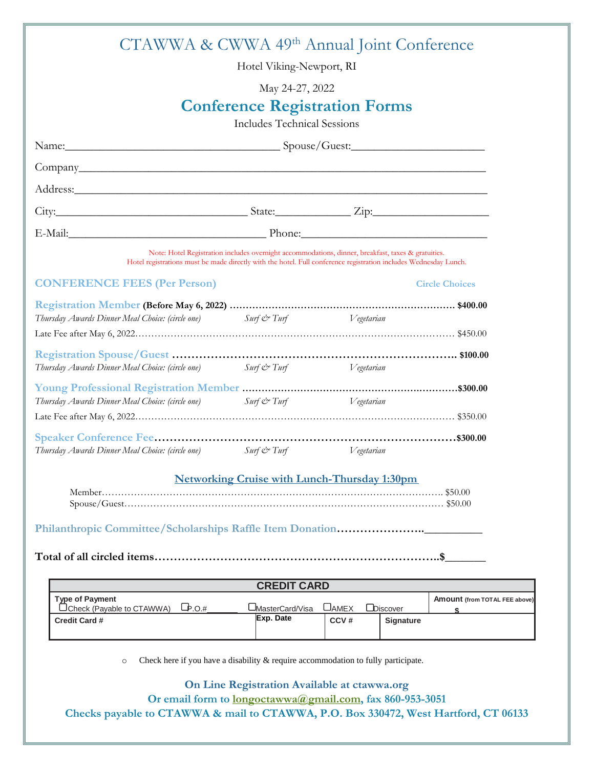| CTAWWA & CWWA 49th Annual Joint Conference                                                                       |                                    |                                                                                                    |                               |
|------------------------------------------------------------------------------------------------------------------|------------------------------------|----------------------------------------------------------------------------------------------------|-------------------------------|
|                                                                                                                  | Hotel Viking-Newport, RI           |                                                                                                    |                               |
|                                                                                                                  | May 24-27, 2022                    |                                                                                                    |                               |
|                                                                                                                  |                                    | <b>Conference Registration Forms</b>                                                               |                               |
|                                                                                                                  | <b>Includes Technical Sessions</b> |                                                                                                    |                               |
| Name: Spouse/Guest:                                                                                              |                                    |                                                                                                    |                               |
|                                                                                                                  |                                    |                                                                                                    |                               |
| Address: Andress:                                                                                                |                                    |                                                                                                    |                               |
|                                                                                                                  |                                    |                                                                                                    |                               |
|                                                                                                                  |                                    |                                                                                                    |                               |
| Hotel registrations must be made directly with the hotel. Full conference registration includes Wednesday Lunch. |                                    | Note: Hotel Registration includes overnight accommodations, dinner, breakfast, taxes & gratuities. |                               |
| <b>CONFERENCE FEES (Per Person)</b>                                                                              |                                    |                                                                                                    | <b>Circle Choices</b>         |
| Thursday Awards Dinner Meal Choice: (circle one) Surf & Turf                                                     |                                    | Vegetarian                                                                                         |                               |
|                                                                                                                  |                                    |                                                                                                    |                               |
| Thursday Awards Dinner Meal Choice: (circle one) Surf & Turf Surf 1997 Vegetarian                                |                                    |                                                                                                    |                               |
|                                                                                                                  |                                    |                                                                                                    |                               |
| Thursday Awards Dinner Meal Choice: (circle one)                                                                 | Surf & Turf Vegetarian             |                                                                                                    |                               |
|                                                                                                                  |                                    |                                                                                                    |                               |
|                                                                                                                  |                                    |                                                                                                    |                               |
| Thursday Awards Dinner Meal Choice: (circle one) Surf & Turf Surf Wegetarian                                     |                                    |                                                                                                    |                               |
|                                                                                                                  |                                    | <b>Networking Cruise with Lunch-Thursday 1:30pm</b>                                                |                               |
|                                                                                                                  |                                    |                                                                                                    |                               |
| Philanthropic Committee/Scholarships Raffle Item Donation                                                        |                                    |                                                                                                    |                               |
|                                                                                                                  |                                    |                                                                                                    | .S.                           |
|                                                                                                                  | <b>CREDIT CARD</b>                 |                                                                                                    |                               |
| <b>Type of Payment</b>                                                                                           |                                    |                                                                                                    | Amount (from TOTAL FEE above) |
| Check (Payable to CTAWWA)<br>$L_{\text{P.O.#}}$<br><b>Credit Card #</b>                                          | UMasterCard/Visa<br>Exp. Date      | $\Box$ AMEX<br><b>LDiscover</b><br>CCV#<br>Signature                                               | \$.                           |
|                                                                                                                  |                                    |                                                                                                    |                               |

o Check here if you have a disability & require accommodation to fully participate.

**On Line Registration Available at ctawwa.org Or email form to longoctawwa@gmail.com, fax 860-953-3051 Checks payable to CTAWWA & mail to CTAWWA, P.O. Box 330472, West Hartford, CT 06133**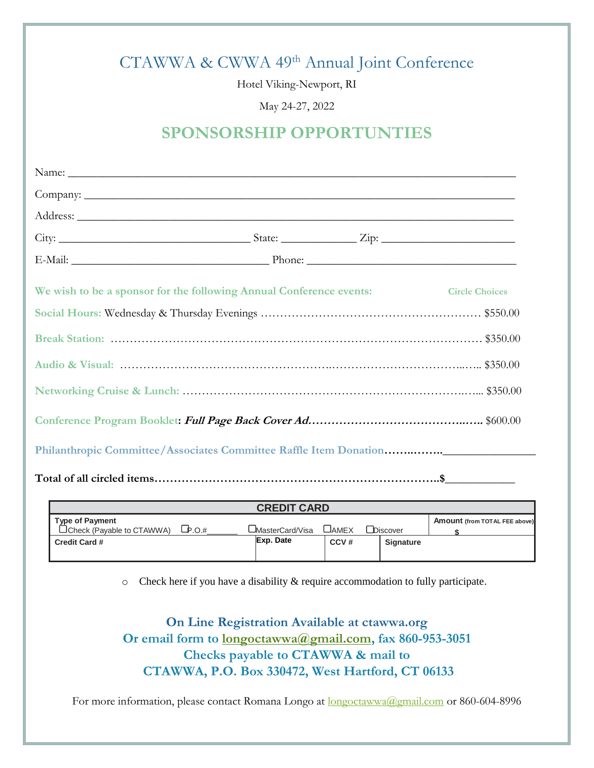# CTAWWA & CWWA 49th Annual Joint Conference

Hotel Viking-Newport, RI

May 24-27, 2022

# **SPONSORSHIP OPPORTUNTIES**

| E-Mail: Phone: Phone: Phone: Phone: Phone: Phone: Phone: Phone: Phone: Phone: Phone: Phone: Phone: Phone: Phone: Phone: Phone: Phone: Phone: Phone: Phone: Phone: Phone: Phone: Phone: Phone: Phone: Phone: Phone: Phone: Phon |  |  |
|--------------------------------------------------------------------------------------------------------------------------------------------------------------------------------------------------------------------------------|--|--|
| We wish to be a sponsor for the following Annual Conference events: Circle Choices                                                                                                                                             |  |  |
|                                                                                                                                                                                                                                |  |  |
|                                                                                                                                                                                                                                |  |  |
|                                                                                                                                                                                                                                |  |  |
|                                                                                                                                                                                                                                |  |  |
|                                                                                                                                                                                                                                |  |  |
|                                                                                                                                                                                                                                |  |  |
|                                                                                                                                                                                                                                |  |  |

| <b>CREDIT CARD</b>                                         |             |                   |       |                  |                                      |
|------------------------------------------------------------|-------------|-------------------|-------|------------------|--------------------------------------|
| <b>Type of Payment</b><br>$\Box$ Check (Payable to CTAWWA) | $L_{p.O.#}$ | _MasterCard/Visa_ | ∟Амех | Discover         | <b>Amount (from TOTAL FEE above)</b> |
| <b>Credit Card #</b>                                       |             | Exp. Date         | CCV#  | <b>Signature</b> |                                      |

o Check here if you have a disability & require accommodation to fully participate.

**On Line Registration Available at ctawwa.org Or email form to longoctawwa@gmail.com, fax 860-953-3051 Checks payable to CTAWWA & mail to CTAWWA, P.O. Box 330472, West Hartford, CT 06133**

For more information, please contact Romana Longo at  $longootawwa@gmail.com$  or 860-604-8996</u>